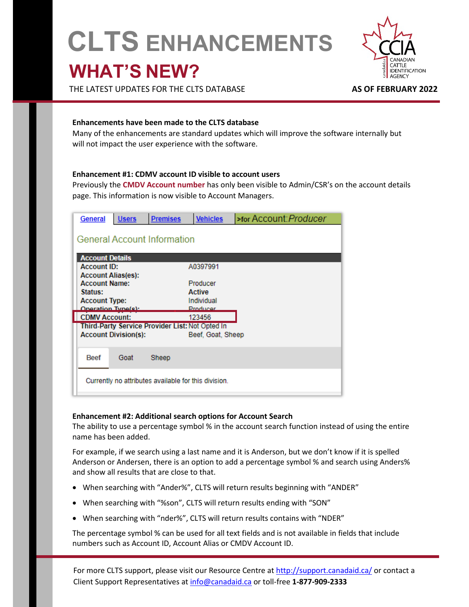# **CLTS ENHANCEMENTS WHAT'S NEW?**



THE LATEST UPDATES FOR THE CLTS DATABASE **AS OF FEBRUARY 2022**

## **Enhancements have been made to the CLTS database**

Many of the enhancements are standard updates which will improve the software internally but will not impact the user experience with the software.

## **Enhancement #1: CDMV account ID visible to account users**

Previously the **CMDV Account number** has only been visible to Admin/CSR's on the account details page. This information is now visible to Account Managers.

| <b>General</b>                                                            | <b>Users</b>                | <b>Premises</b>                                      | <b>Vehicles</b>                         | >for Account: Producer |  |  |
|---------------------------------------------------------------------------|-----------------------------|------------------------------------------------------|-----------------------------------------|------------------------|--|--|
| <b>General Account Information</b>                                        |                             |                                                      |                                         |                        |  |  |
| <b>Account Details</b><br><b>Account ID:</b><br><b>Account Alias(es):</b> |                             |                                                      | A0397991                                |                        |  |  |
| <b>Account Name:</b><br>Status:                                           |                             |                                                      | Producer<br>Active                      |                        |  |  |
| <b>Account Type:</b><br><b>Operation Tupelety</b>                         |                             |                                                      | Individual<br><b>Droducer</b><br>123456 |                        |  |  |
| <b>CDMV Account:</b><br>Third-Party Service Provider List: Not Opted In   |                             |                                                      |                                         |                        |  |  |
|                                                                           | <b>Account Division(s):</b> |                                                      | Beef, Goat, Sheep                       |                        |  |  |
| <b>Beef</b>                                                               | Goat                        | Sheep                                                |                                         |                        |  |  |
|                                                                           |                             | Currently no attributes available for this division. |                                         |                        |  |  |

#### **Enhancement #2: Additional search options for Account Search**

The ability to use a percentage symbol % in the account search function instead of using the entire name has been added.

For example, if we search using a last name and it is Anderson, but we don't know if it is spelled Anderson or Andersen, there is an option to add a percentage symbol % and search using Anders% and show all results that are close to that.

- When searching with "Ander%", CLTS will return results beginning with "ANDER"
- When searching with "%son", CLTS will return results ending with "SON"
- When searching with "nder%", CLTS will return results contains with "NDER"

The percentage symbol % can be used for all text fields and is not available in fields that include numbers such as Account ID, Account Alias or CMDV Account ID.

For more CLTS support, please visit our Resource Centre a[t http://support.canadaid.ca/](http://support.canadaid.ca/) or contact a Client Support Representatives at [info@canadaid.ca](mailto:info@canadaid.ca) or toll-free **1-877-909-2333**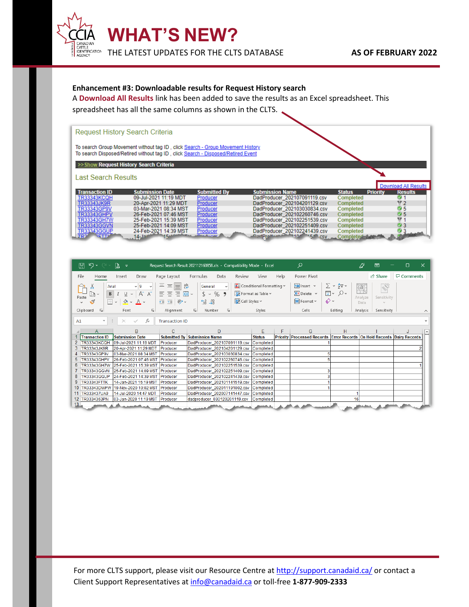

## **Enhancement #3: Downloadable results for Request History search**

A **Download All Results** link has been added to save the results as an Excel spreadsheet. This spreadsheet has all the same columns as shown in the CLTS.

| <b>Request History Search Criteria</b> |                                                                                                                                                                    |                     |                                |                  |                                   |
|----------------------------------------|--------------------------------------------------------------------------------------------------------------------------------------------------------------------|---------------------|--------------------------------|------------------|-----------------------------------|
|                                        | To search Group Movement without tag ID, click Search - Group Movement History<br>To search Disposed/Retired without tag ID, click Search - Disposed/Retired Event |                     |                                |                  |                                   |
|                                        | >>Show Request History Search Criteria                                                                                                                             |                     |                                |                  |                                   |
| <b>Last Search Results</b>             |                                                                                                                                                                    |                     |                                |                  |                                   |
|                                        |                                                                                                                                                                    |                     |                                |                  | Download All Results              |
| <b>Transaction ID</b>                  | <b>Submission Date</b>                                                                                                                                             | <b>Submitted By</b> | <b>Submission Name</b>         | <b>Status</b>    | <b>Priority</b><br><b>Results</b> |
| TR33343KCQH                            | 09-Jul-2021 11:19 MDT                                                                                                                                              | Producer            | DadProducer 202107091119.csv   | Completed        | $\mathbf{0}$ 1                    |
| TR33343JK9R                            | 20-Apr-2021 11:29 MDT                                                                                                                                              | Producer            | DadProducer 202104201129.csv   | <b>Completed</b> | 172                               |
| TR33343GP9V                            | 03-Mar-2021 08:34 MST                                                                                                                                              | Producer            | DadProducer 202103030834.csv   | Completed        | ₩5                                |
| TR33343GHPV                            | 26-Feb-2021 07:46 MST                                                                                                                                              | Producer            | DadProducer 202102260746.csv   | Completed        | ₩5                                |
| TR33343GH7W                            | 25-Feb-2021 15:39 MST                                                                                                                                              | Producer            | DadProducer 202102251539.csv   | <b>Completed</b> | M 1                               |
| TR33343GGVN                            | 25-Feb-2021 14:09 MST                                                                                                                                              | Producer            | DadProducer 202102251409.csv   | <b>Completed</b> | $\mathbf{w}$ 3                    |
| TR33343GGUP                            | 24-Feb-2021 14:39 MST                                                                                                                                              | Producer            | DadProducer 202102241439.csv   | Completed        |                                   |
| RETTI                                  | $14$ -Jan                                                                                                                                                          | <b>Chambers</b>     | <b>DestPrest</b><br><b>CSV</b> | Completed        |                                   |

|    | り・<br>日                                                                 | ቤ<br>$\overline{\mathbf{v}}$                                             |                                                            | Request Search Result 202112160858.xls - Compatibility Mode - Excel                                                                                      |                                                         | ρ                                                                        |                                                                                      | 囨                                                                         | n                 | x      |
|----|-------------------------------------------------------------------------|--------------------------------------------------------------------------|------------------------------------------------------------|----------------------------------------------------------------------------------------------------------------------------------------------------------|---------------------------------------------------------|--------------------------------------------------------------------------|--------------------------------------------------------------------------------------|---------------------------------------------------------------------------|-------------------|--------|
|    | File<br>Home                                                            | Draw<br>Insert                                                           | Page Layout                                                | Formulas<br>Data<br>Review                                                                                                                               | View<br>Help                                            | Power Pivot                                                              |                                                                                      | <b>B</b> Share                                                            | <b>□</b> Comments |        |
|    | Arial<br>B<br>ľ۹<br>Paste<br>FA<br>◁<br>$\checkmark$<br>Γý<br>Clipboard | $\sim$ 9<br>$A^* A^*$<br>$\checkmark$<br>$\overline{\mathbb{R}}$<br>Font | $\equiv$<br>鸮<br>$=$<br>三 臣 ~<br>몸 몸.<br>三三岁~<br>Alignment | General<br>$\checkmark$<br>$s \cdot \%$<br>Cell Styles ~<br>$\frac{.00}{.00}$<br>$\epsilon_{\rm{on}}^{\rm{B}}$<br>$\overline{\mathbf{y}}$<br>Ŀ<br>Number | Conditional Formatting v<br>Format as Table ~<br>Styles | <b>Ell</b> Insert v<br>$D \times$ Delete $\sim$<br>Fil Format ~<br>Cells | $\Sigma \times \frac{1}{2} \nabla \times$<br>$\overline{L}$ v $Q$ v<br>6∼<br>Editing | $\mathbb{Q}$<br>Analyze<br>Sensitivity<br>Data<br>Analysis<br>Sensitivity |                   |        |
|    | $\overline{\mathbf{v}}$                                                 |                                                                          |                                                            |                                                                                                                                                          |                                                         |                                                                          |                                                                                      |                                                                           |                   | $\sim$ |
| A1 |                                                                         | fx<br>$\times$                                                           | <b>Transaction ID</b>                                      |                                                                                                                                                          |                                                         |                                                                          |                                                                                      |                                                                           |                   |        |
|    | A                                                                       | B                                                                        | C                                                          | D                                                                                                                                                        | E<br>F                                                  | G                                                                        | H                                                                                    |                                                                           |                   | l۸     |
|    |                                                                         |                                                                          |                                                            |                                                                                                                                                          |                                                         |                                                                          |                                                                                      |                                                                           |                   |        |
|    | <b>Transaction ID</b>                                                   | <b>Submission Date</b>                                                   |                                                            | <b>Submitted By Submission Name</b>                                                                                                                      | <b>Status</b>                                           | Priority Processed Records Error Records On Hold Records Dairy Records   |                                                                                      |                                                                           |                   |        |
|    | <b>TR33343KCQH</b>                                                      | 09-Jul-2021 11:19 MDT                                                    | Producer                                                   | DadProducer 202107091119.csv                                                                                                                             | Completed                                               |                                                                          |                                                                                      |                                                                           |                   |        |
| 3  | TR33343JK9R                                                             | 20-Apr-2021 11:29 MDT                                                    | Producer                                                   | DadProducer 202104201129.csv                                                                                                                             | Completed                                               |                                                                          |                                                                                      |                                                                           |                   |        |
|    | TR33343GP9V                                                             | 03-Mar-2021 08:34 MST                                                    | <b>IProducer</b>                                           | DadProducer_202103030834.csv                                                                                                                             | Completed                                               |                                                                          |                                                                                      |                                                                           |                   |        |
| 5  | TR33343GHPV                                                             | 26-Feb-2021 07:46 MST                                                    | Producer                                                   | DadProducer 202102260746.csv                                                                                                                             | Completed                                               |                                                                          |                                                                                      |                                                                           |                   |        |
| 6  | <b>TR33343GH7W</b>                                                      | 25-Feb-2021 15:39 MST                                                    | Producer                                                   | DadProducer_202102251539.csv                                                                                                                             | Completed                                               |                                                                          |                                                                                      |                                                                           |                   |        |
|    | <b>TR33343GGVN</b>                                                      | 25-Feb-2021 14:09 MST                                                    | Producer                                                   | DadProducer 202102251409.csv                                                                                                                             | Completed                                               |                                                                          |                                                                                      |                                                                           |                   |        |
| 8  | TR33343GGUP                                                             | 24-Feb-2021 14:39 MST                                                    | Producer                                                   | DadProducer 202102241439.csv                                                                                                                             | <b>Completed</b>                                        |                                                                          |                                                                                      |                                                                           |                   |        |
| 9  | TR33343FTTK                                                             | 14-Jan-2021 15:19 MST                                                    | Producer                                                   | DadProducer_202101141519.csv                                                                                                                             | Completed                                               |                                                                          |                                                                                      |                                                                           |                   |        |
|    | 10 TR33343DWPW                                                          | 19-Nov-2020 10:02 MST                                                    | Producer                                                   | DadProducer 202011191002.csv                                                                                                                             | Completed                                               |                                                                          |                                                                                      |                                                                           |                   |        |
|    | 11 TR333437UA9                                                          | 14-Jul-2020 14:47 MDT                                                    | Producer                                                   | DadProducer 202007141447.csv                                                                                                                             | Completed                                               |                                                                          |                                                                                      |                                                                           |                   |        |
| 13 | 12 TR3334363PN                                                          | 03-Jan-2020 11:19 MST                                                    | <b>IProducer</b>                                           | dadproducer_030120201119.csv                                                                                                                             | Completed                                               |                                                                          | 16                                                                                   |                                                                           |                   |        |

For more CLTS support, please visit our Resource Centre at<http://support.canadaid.ca/> or contact a Client Support Representatives a[t info@canadaid.ca](mailto:info@canadaid.ca) or toll-free **1-877-909-2333**